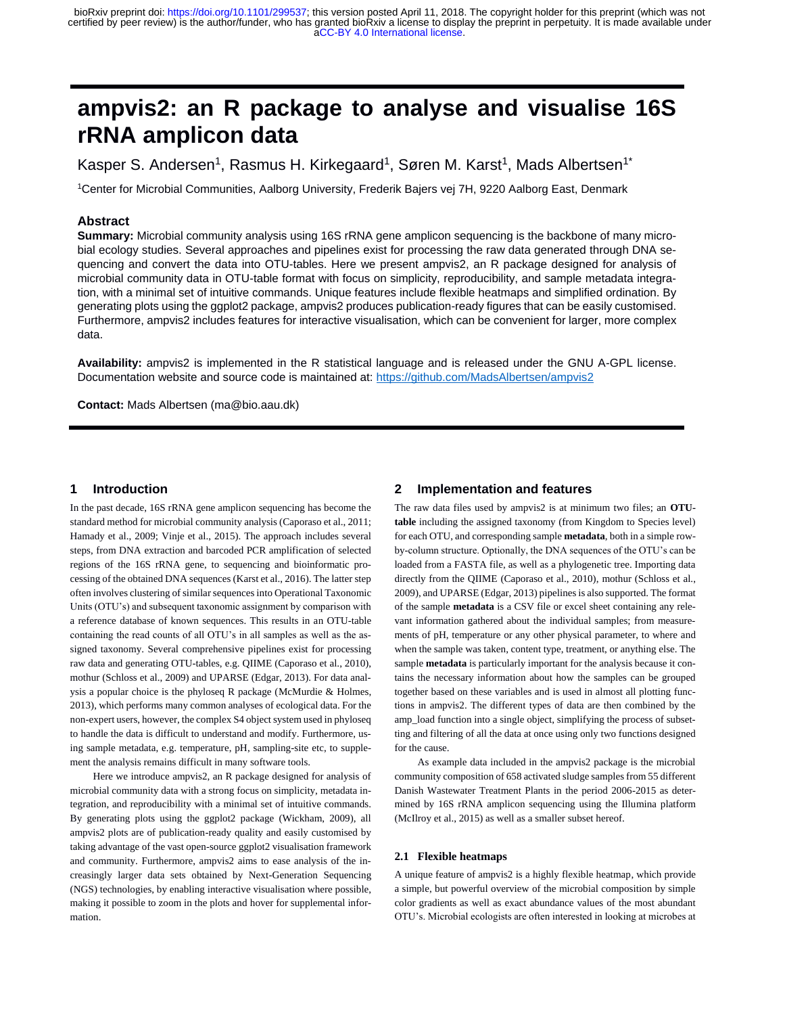# **ampvis2: an R package to analyse and visualise 16S rRNA amplicon data**

Kasper S. Andersen<sup>1</sup>, Rasmus H. Kirkegaard<sup>1</sup>, Søren M. Karst<sup>1</sup>, Mads Albertsen<sup>1\*</sup>

<sup>1</sup>Center for Microbial Communities, Aalborg University, Frederik Bajers vej 7H, 9220 Aalborg East, Denmark

# **Abstract**

**Summary:** Microbial community analysis using 16S rRNA gene amplicon sequencing is the backbone of many microbial ecology studies. Several approaches and pipelines exist for processing the raw data generated through DNA sequencing and convert the data into OTU-tables. Here we present ampvis2, an R package designed for analysis of microbial community data in OTU-table format with focus on simplicity, reproducibility, and sample metadata integration, with a minimal set of intuitive commands. Unique features include flexible heatmaps and simplified ordination. By generating plots using the ggplot2 package, ampvis2 produces publication-ready figures that can be easily customised. Furthermore, ampvis2 includes features for interactive visualisation, which can be convenient for larger, more complex data.

**Availability:** ampvis2 is implemented in the R statistical language and is released under the GNU A-GPL license. Documentation website and source code is maintained at:<https://github.com/MadsAlbertsen/ampvis2>

**Contact:** Mads Albertsen (ma@bio.aau.dk)

# **1 Introduction**

In the past decade, 16S rRNA gene amplicon sequencing has become the standard method for microbial community analysis (Caporaso et al., 2011; Hamady et al., 2009; Vinje et al., 2015). The approach includes several steps, from DNA extraction and barcoded PCR amplification of selected regions of the 16S rRNA gene, to sequencing and bioinformatic processing of the obtained DNA sequences (Karst et al., 2016). The latter step often involves clustering of similar sequences into Operational Taxonomic Units (OTU's) and subsequent taxonomic assignment by comparison with a reference database of known sequences. This results in an OTU-table containing the read counts of all OTU's in all samples as well as the assigned taxonomy. Several comprehensive pipelines exist for processing raw data and generating OTU-tables, e.g. QIIME (Caporaso et al., 2010), mothur (Schloss et al., 2009) and UPARSE (Edgar, 2013). For data analysis a popular choice is the phyloseq R package (McMurdie & Holmes, 2013), which performs many common analyses of ecological data. For the non-expert users, however, the complex S4 object system used in phyloseq to handle the data is difficult to understand and modify. Furthermore, using sample metadata, e.g. temperature, pH, sampling-site etc, to supplement the analysis remains difficult in many software tools.

Here we introduce ampvis2, an R package designed for analysis of microbial community data with a strong focus on simplicity, metadata integration, and reproducibility with a minimal set of intuitive commands. By generating plots using the ggplot2 package (Wickham, 2009), all ampvis2 plots are of publication-ready quality and easily customised by taking advantage of the vast open-source ggplot2 visualisation framework and community. Furthermore, ampvis2 aims to ease analysis of the increasingly larger data sets obtained by Next-Generation Sequencing (NGS) technologies, by enabling interactive visualisation where possible, making it possible to zoom in the plots and hover for supplemental information.

## **2 Implementation and features**

The raw data files used by ampvis2 is at minimum two files; an **OTUtable** including the assigned taxonomy (from Kingdom to Species level) for each OTU, and corresponding sample **metadata**, both in a simple rowby-column structure. Optionally, the DNA sequences of the OTU's can be loaded from a FASTA file, as well as a phylogenetic tree. Importing data directly from the QIIME (Caporaso et al., 2010), mothur (Schloss et al., 2009), and UPARSE (Edgar, 2013) pipelines is also supported. The format of the sample **metadata** is a CSV file or excel sheet containing any relevant information gathered about the individual samples; from measurements of pH, temperature or any other physical parameter, to where and when the sample was taken, content type, treatment, or anything else. The sample **metadata** is particularly important for the analysis because it contains the necessary information about how the samples can be grouped together based on these variables and is used in almost all plotting functions in ampvis2. The different types of data are then combined by the amp\_load function into a single object, simplifying the process of subsetting and filtering of all the data at once using only two functions designed for the cause.

As example data included in the ampvis2 package is the microbial community composition of 658 activated sludge samples from 55 different Danish Wastewater Treatment Plants in the period 2006-2015 as determined by 16S rRNA amplicon sequencing using the Illumina platform (McIlroy et al., 2015) as well as a smaller subset hereof.

#### **2.1 Flexible heatmaps**

A unique feature of ampvis2 is a highly flexible heatmap, which provide a simple, but powerful overview of the microbial composition by simple color gradients as well as exact abundance values of the most abundant OTU's. Microbial ecologists are often interested in looking at microbes at